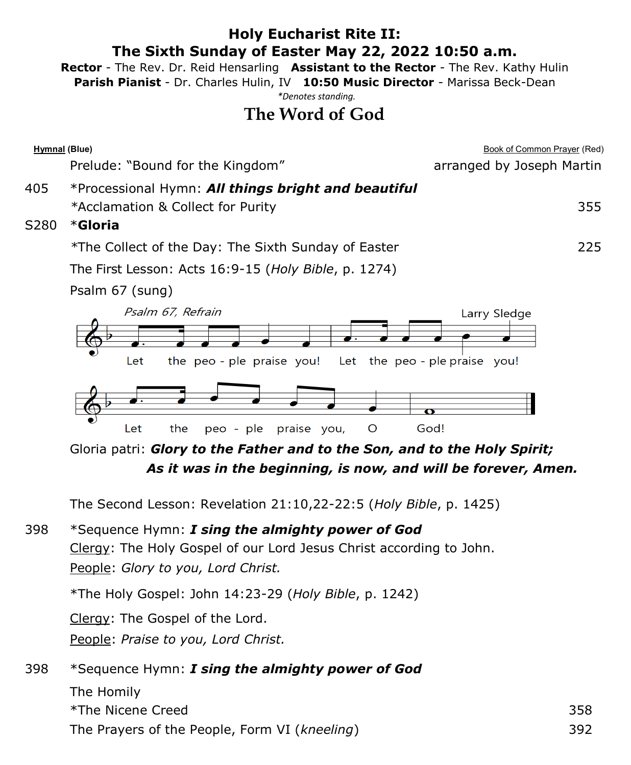#### **Holy Eucharist Rite II: The Sixth Sunday of Easter May 22, 2022 10:50 a.m.**

**Rector** - The Rev. Dr. Reid Hensarling **Assistant to the Rector** - The Rev. Kathy Hulin

**Parish Pianist** - Dr. Charles Hulin, IV **10:50 Music Director** - Marissa Beck-Dean

*\*Denotes standing.*

# **The Word of God**

| Hymnal (Blue) |                                                                                                                                                               | <b>Book of Common Prayer (Red)</b>          |
|---------------|---------------------------------------------------------------------------------------------------------------------------------------------------------------|---------------------------------------------|
|               | Prelude: "Bound for the Kingdom"                                                                                                                              | arranged by Joseph Martin                   |
| 405<br>S280   | *Processional Hymn: All things bright and beautiful<br>*Acclamation & Collect for Purity<br>*Gloria                                                           | 355                                         |
|               | *The Collect of the Day: The Sixth Sunday of Easter                                                                                                           | 225                                         |
|               | The First Lesson: Acts 16:9-15 (Holy Bible, p. 1274)                                                                                                          |                                             |
|               | Psalm 67 (sung)                                                                                                                                               |                                             |
|               | Psalm 67, Refrain<br>the peo-ple praise you!<br>Let                                                                                                           | Larry Sledge<br>Let the peo-ple praise you! |
|               | $\circ$<br>Let<br>the<br>peo - ple<br>praise you,                                                                                                             | God!                                        |
|               | Gloria patri: Glory to the Father and to the Son, and to the Holy Spirit;<br>As it was in the beginning, is now, and will be forever, Amen.                   |                                             |
|               | The Second Lesson: Revelation 21:10,22-22:5 (Holy Bible, p. 1425)                                                                                             |                                             |
| 398           | *Sequence Hymn: I sing the almighty power of God<br>Clergy: The Holy Gospel of our Lord Jesus Christ according to John.<br>People: Glory to you, Lord Christ. |                                             |
|               | *The Holy Gospel: John 14:23-29 (Holy Bible, p. 1242)                                                                                                         |                                             |
|               |                                                                                                                                                               |                                             |

Clergy: The Gospel of the Lord.

People: *Praise to you, Lord Christ.*

## 398 \*Sequence Hymn: *I sing the almighty power of God*

The Homily  $*$ The Nicene Creed  $*$ The Prayers of the People, Form VI (*kneeling*) 392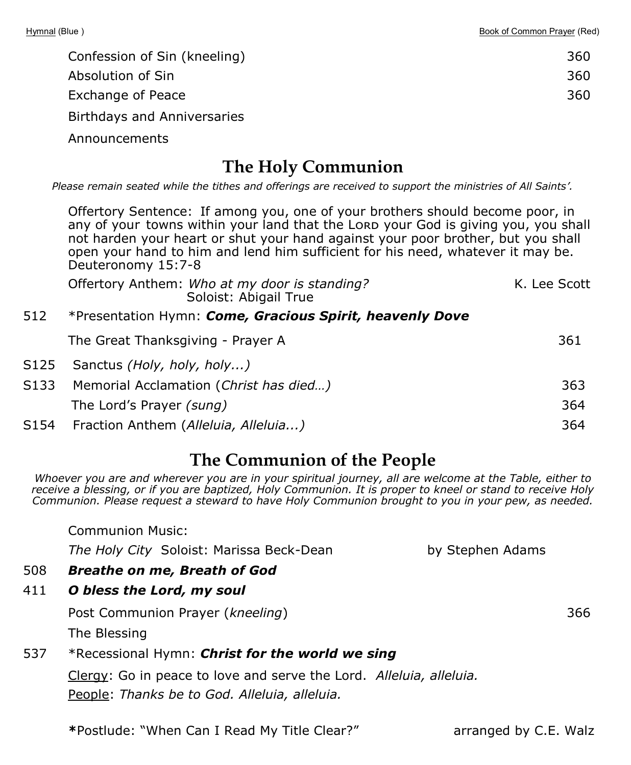| Confession of Sin (kneeling) | 360 |
|------------------------------|-----|
| Absolution of Sin            | 360 |
| Exchange of Peace            | 360 |
| Birthdays and Anniversaries  |     |

Announcements

## **The Holy Communion**

*Please remain seated while the tithes and offerings are received to support the ministries of All Saints'.*

Offertory Sentence: If among you, one of your brothers should become poor, in any of your towns within your land that the Lorp your God is giving you, you shall not harden your heart or shut your hand against your poor brother, but you shall open your hand to him and lend him sufficient for his need, whatever it may be. Deuteronomy 15:7-8

|       | Offertory Anthem: Who at my door is standing?<br>Soloist: Abigail True | K. Lee Scott |
|-------|------------------------------------------------------------------------|--------------|
| 512   | *Presentation Hymn: Come, Gracious Spirit, heavenly Dove               |              |
|       | The Great Thanksgiving - Prayer A                                      | 361          |
| S125  | Sanctus (Holy, holy, holy)                                             |              |
| 5133. | Memorial Acclamation (Christ has died)                                 | 363          |

| of the mondial Accidination (Childenias dicu) |      |
|-----------------------------------------------|------|
| The Lord's Prayer <i>(sung)</i>               | 364. |
| S154 Fraction Anthem (Alleluia, Alleluia)     | 364  |

# **The Communion of the People**

*Whoever you are and wherever you are in your spiritual journey, all are welcome at the Table, either to receive a blessing, or if you are baptized, Holy Communion. It is proper to kneel or stand to receive Holy Communion. Please request a steward to have Holy Communion brought to you in your pew, as needed.*

Communion Music:

*The Holy City* Soloist: Marissa Beck-Dean by Stephen Adams

- 508 *Breathe on me, Breath of God*
- 411 *O bless the Lord, my soul*

Post Communion Prayer (*kneeling*) 366

The Blessing

#### 537 \*Recessional Hymn: *Christ for the world we sing*

Clergy: Go in peace to love and serve the Lord. *Alleluia, alleluia.*  People: *Thanks be to God. Alleluia, alleluia.* 

**\***Postlude: "When Can I Read My Title Clear?"arranged by C.E. Walz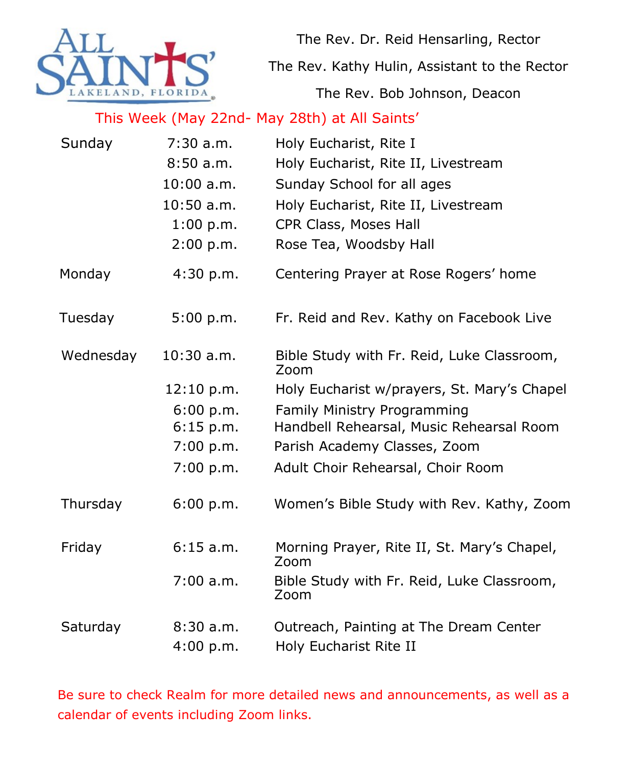

The Rev. Dr. Reid Hensarling, Rector

The Rev. Kathy Hulin, Assistant to the Rector

The Rev. Bob Johnson, Deacon

### This Week (May 22nd- May 28th) at All Saints'

| Sunday    | 7:30 a.m.    | Holy Eucharist, Rite I                              |
|-----------|--------------|-----------------------------------------------------|
|           | 8:50a.m.     | Holy Eucharist, Rite II, Livestream                 |
|           | $10:00$ a.m. | Sunday School for all ages                          |
|           | $10:50$ a.m. | Holy Eucharist, Rite II, Livestream                 |
|           | 1:00 p.m.    | CPR Class, Moses Hall                               |
|           | 2:00 p.m.    | Rose Tea, Woodsby Hall                              |
| Monday    | 4:30 p.m.    | Centering Prayer at Rose Rogers' home               |
| Tuesday   | 5:00 p.m.    | Fr. Reid and Rev. Kathy on Facebook Live            |
| Wednesday | $10:30$ a.m. | Bible Study with Fr. Reid, Luke Classroom,<br>Zoom  |
|           | 12:10 p.m.   | Holy Eucharist w/prayers, St. Mary's Chapel         |
|           | 6:00 p.m.    | Family Ministry Programming                         |
|           | $6:15$ p.m.  | Handbell Rehearsal, Music Rehearsal Room            |
|           | 7:00 p.m.    | Parish Academy Classes, Zoom                        |
|           | 7:00 p.m.    | Adult Choir Rehearsal, Choir Room                   |
| Thursday  | 6:00 p.m.    | Women's Bible Study with Rev. Kathy, Zoom           |
| Friday    | 6:15 a.m.    | Morning Prayer, Rite II, St. Mary's Chapel,<br>Zoom |
|           | $7:00$ a.m.  | Bible Study with Fr. Reid, Luke Classroom,<br>Zoom  |
| Saturday  | 8:30 a.m.    | Outreach, Painting at The Dream Center              |
|           | 4:00 p.m.    | Holy Eucharist Rite II                              |

Be sure to check Realm for more detailed news and announcements, as well as a calendar of events including Zoom links.